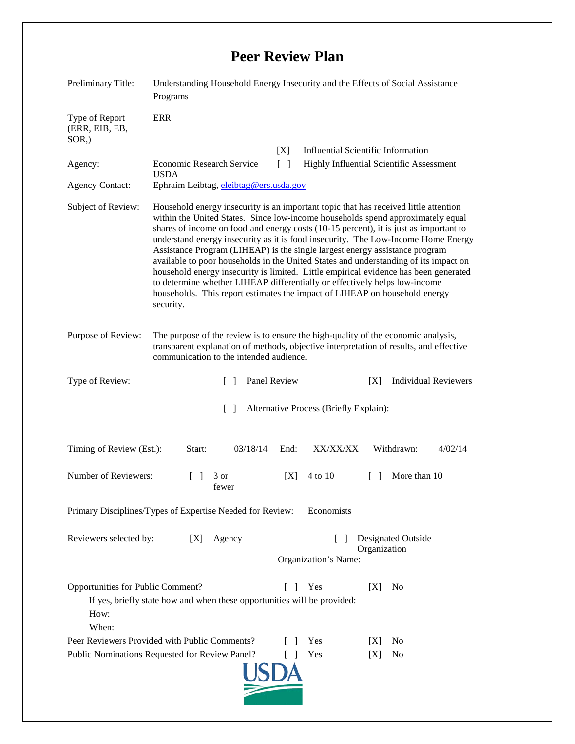## **Peer Review Plan**

| Preliminary Title:                                                                                                                                                  | Understanding Household Energy Insecurity and the Effects of Social Assistance<br>Programs                                                                                                                                                                                                                                                                                                                                                                                                                                                                                                                                                                                                                                                                                                    |              |                                                                      |        |                             |         |
|---------------------------------------------------------------------------------------------------------------------------------------------------------------------|-----------------------------------------------------------------------------------------------------------------------------------------------------------------------------------------------------------------------------------------------------------------------------------------------------------------------------------------------------------------------------------------------------------------------------------------------------------------------------------------------------------------------------------------------------------------------------------------------------------------------------------------------------------------------------------------------------------------------------------------------------------------------------------------------|--------------|----------------------------------------------------------------------|--------|-----------------------------|---------|
| Type of Report<br>(ERR, EIB, EB,<br>$SOR$ .)                                                                                                                        | <b>ERR</b>                                                                                                                                                                                                                                                                                                                                                                                                                                                                                                                                                                                                                                                                                                                                                                                    |              |                                                                      |        |                             |         |
|                                                                                                                                                                     |                                                                                                                                                                                                                                                                                                                                                                                                                                                                                                                                                                                                                                                                                                                                                                                               | [X]          | <b>Influential Scientific Information</b>                            |        |                             |         |
| Agency:                                                                                                                                                             | <b>Economic Research Service</b><br>$\lceil \; \rceil$<br>Highly Influential Scientific Assessment<br><b>USDA</b>                                                                                                                                                                                                                                                                                                                                                                                                                                                                                                                                                                                                                                                                             |              |                                                                      |        |                             |         |
| <b>Agency Contact:</b>                                                                                                                                              | Ephraim Leibtag, eleibtag@ers.usda.gov                                                                                                                                                                                                                                                                                                                                                                                                                                                                                                                                                                                                                                                                                                                                                        |              |                                                                      |        |                             |         |
| Subject of Review:                                                                                                                                                  | Household energy insecurity is an important topic that has received little attention<br>within the United States. Since low-income households spend approximately equal<br>shares of income on food and energy costs (10-15 percent), it is just as important to<br>understand energy insecurity as it is food insecurity. The Low-Income Home Energy<br>Assistance Program (LIHEAP) is the single largest energy assistance program<br>available to poor households in the United States and understanding of its impact on<br>household energy insecurity is limited. Little empirical evidence has been generated<br>to determine whether LIHEAP differentially or effectively helps low-income<br>households. This report estimates the impact of LIHEAP on household energy<br>security. |              |                                                                      |        |                             |         |
| Purpose of Review:                                                                                                                                                  | The purpose of the review is to ensure the high-quality of the economic analysis,<br>transparent explanation of methods, objective interpretation of results, and effective<br>communication to the intended audience.                                                                                                                                                                                                                                                                                                                                                                                                                                                                                                                                                                        |              |                                                                      |        |                             |         |
| Type of Review:                                                                                                                                                     | $\Box$                                                                                                                                                                                                                                                                                                                                                                                                                                                                                                                                                                                                                                                                                                                                                                                        | Panel Review |                                                                      | [X]    | <b>Individual Reviewers</b> |         |
| $\lceil \rceil$<br>Alternative Process (Briefly Explain):                                                                                                           |                                                                                                                                                                                                                                                                                                                                                                                                                                                                                                                                                                                                                                                                                                                                                                                               |              |                                                                      |        |                             |         |
| Timing of Review (Est.):                                                                                                                                            | 03/18/14<br>Start:                                                                                                                                                                                                                                                                                                                                                                                                                                                                                                                                                                                                                                                                                                                                                                            | End:         | XX/XX/XX                                                             |        | Withdrawn:                  | 4/02/14 |
| Number of Reviewers:                                                                                                                                                | $\mathbb{R}$<br>3 or<br>fewer                                                                                                                                                                                                                                                                                                                                                                                                                                                                                                                                                                                                                                                                                                                                                                 | [X]          | 4 to 10                                                              | $\Box$ | More than 10                |         |
| Primary Disciplines/Types of Expertise Needed for Review:<br>Economists                                                                                             |                                                                                                                                                                                                                                                                                                                                                                                                                                                                                                                                                                                                                                                                                                                                                                                               |              |                                                                      |        |                             |         |
| Reviewers selected by:<br>Agency<br>[X]                                                                                                                             |                                                                                                                                                                                                                                                                                                                                                                                                                                                                                                                                                                                                                                                                                                                                                                                               |              | Designated Outside<br>$\Box$<br>Organization<br>Organization's Name: |        |                             |         |
| Opportunities for Public Comment?<br>Yes<br>[X]<br>N <sub>0</sub><br>L<br>If yes, briefly state how and when these opportunities will be provided:<br>How:<br>When: |                                                                                                                                                                                                                                                                                                                                                                                                                                                                                                                                                                                                                                                                                                                                                                                               |              |                                                                      |        |                             |         |
| Peer Reviewers Provided with Public Comments?                                                                                                                       | Yes                                                                                                                                                                                                                                                                                                                                                                                                                                                                                                                                                                                                                                                                                                                                                                                           | [X]          | No                                                                   |        |                             |         |
| Public Nominations Requested for Review Panel?                                                                                                                      |                                                                                                                                                                                                                                                                                                                                                                                                                                                                                                                                                                                                                                                                                                                                                                                               |              | Yes                                                                  | [X]    | No                          |         |
|                                                                                                                                                                     |                                                                                                                                                                                                                                                                                                                                                                                                                                                                                                                                                                                                                                                                                                                                                                                               |              |                                                                      |        |                             |         |